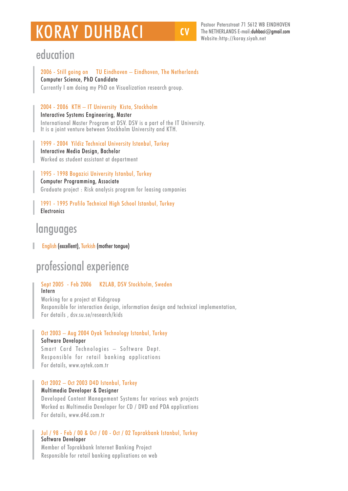# **KORAY DUHBACI**

Pastoor Petersstraat 71 5612 WB EINDHOVEN The NETHERLANDS E-mail: duhbaci $\oslash$ amail.com Website: http://koray.siyah.net

### education

2006 - Still going on TU Eindhoven - Eindhoven, The Netherlands Computer Science, PhD Candidate Currently I am doing my PhD on Visualization research group.

#### 2004 - 2006 KTH - IT University Kista, Stockholm

Interactive Systems Engineering, Master International Master Program at DSV. DSV is a part of the IT University. It is a joint venture between Stockholm University and KTH.

1999 - 2004 Yildiz Technical University Istanbul, Turkey Interactive Media Design, Bachelor Worked as student assistant at department

1995 - 1998 Bogazici University Istanbul, Turkey **Computer Programming, Associate** Graduate project: Risk analysis program for leasing companies

1991 - 1995 Profilo Technical High School Istanbul, Turkey **Electronics** 

### languages

English (excellent), Turkish (mother tongue)

# professional experience

#### Sept 2005 - Feb 2006 K2LAB, DSV Stockholm, Sweden Intern

Working for a project at Kidsgroup Responsible for interaction design, information design and technical implementation, For details, dsv.su.se/research/kids

#### Oct 2003 - Aug 2004 Oyak Technology Istanbul, Turkey **Software Developer**

Smart Card Technologies - Software Dept. Responsible for retail banking applications For details, www.ovtek.com.tr

#### Oct 2002 - Oct 2003 D4D Istanbul, Turkey

#### Multimedia Developer & Designer

Developed Content Management Systems for various web projects Worked as Multimedia Developer for CD / DVD and PDA applications For details, www.d4d.com.tr

#### Jul / 98 - Feb / 00 & Oct / 00 - Oct / 02 Toprakbank Istanbul, Turkey Software Developer

Member of Toprakbank Internet Banking Project Responsible for retail banking applications on web